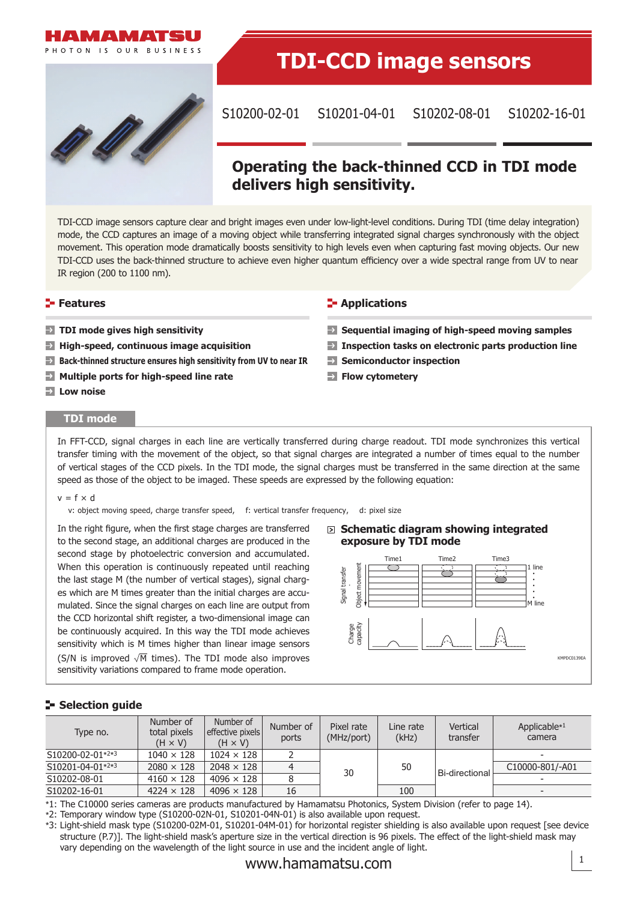



# **TDI-CCD image sensors**

S10200-02-01 S10201-04-01 S10202-08-01 S10202-16-01

# **Operating the back-thinned CCD in TDI mode delivers high sensitivity.**

TDI-CCD image sensors capture clear and bright images even under low-light-level conditions. During TDI (time delay integration) mode, the CCD captures an image of a moving object while transferring integrated signal charges synchronously with the object movement. This operation mode dramatically boosts sensitivity to high levels even when capturing fast moving objects. Our new TDI-CCD uses the back-thinned structure to achieve even higher quantum efficiency over a wide spectral range from UV to near IR region (200 to 1100 nm).

#### **Features**

- **TDI mode gives high sensitivity**
- **High-speed, continuous image acquisition**
- **Back-thinned structure ensures high sensitivity from UV to near IR**
- **Multiple ports for high-speed line rate**
- **Low noise**

#### **TDI mode**

# **Sequential imaging of high-speed moving samples**

**E**-Applications

- **Inspection tasks on electronic parts production line**
- **Semiconductor inspection**
- **Flow cytometery**

In FFT-CCD, signal charges in each line are vertically transferred during charge readout. TDI mode synchronizes this vertical transfer timing with the movement of the object, so that signal charges are integrated a number of times equal to the number of vertical stages of the CCD pixels. In the TDI mode, the signal charges must be transferred in the same direction at the same speed as those of the object to be imaged. These speeds are expressed by the following equation:

#### $v = f \times d$

v: object moving speed, charge transfer speed, f: vertical transfer frequency, d: pixel size

In the right figure, when the first stage charges are transferred to the second stage, an additional charges are produced in the second stage by photoelectric conversion and accumulated. When this operation is continuously repeated until reaching the last stage M (the number of vertical stages), signal charges which are M times greater than the initial charges are accumulated. Since the signal charges on each line are output from the CCD horizontal shift register, a two-dimensional image can be continuously acquired. In this way the TDI mode achieves sensitivity which is M times higher than linear image sensors (S/N is improved  $\sqrt{M}$  times). The TDI mode also improves sensitivity variations compared to frame mode operation.

#### **Schematic diagram showing integrated exposure by TDI mode**



### **Selection guide**

| Type no.         | Number of<br>total pixels<br>$(H \times V)$ | Number of<br>effective pixels<br>$(H \times V)$ | Number of<br>ports | Pixel rate<br>(MHz/port) | Line rate<br>(kHz) | Vertical<br>transfer | Applicable $*1$<br>camera |
|------------------|---------------------------------------------|-------------------------------------------------|--------------------|--------------------------|--------------------|----------------------|---------------------------|
| S10200-02-01*2*3 | $1040 \times 128$                           | $1024 \times 128$                               |                    |                          |                    |                      |                           |
| S10201-04-01*2*3 | $2080 \times 128$                           | $2048 \times 128$                               |                    | 30                       | 50                 | Bi-directional       | C10000-801/-A01           |
| S10202-08-01     | $4160 \times 128$                           | $4096 \times 128$                               |                    |                          |                    |                      |                           |
| S10202-16-01     | $4224 \times 128$                           | $4096 \times 128$                               | 16                 |                          | 100                |                      |                           |

\*1: The C10000 series cameras are products manufactured by Hamamatsu Photonics, System Division (refer to page 14).

\*2: Temporary window type (S10200-02N-01, S10201-04N-01) is also available upon request.

\*3: Light-shield mask type (S10200-02M-01, S10201-04M-01) for horizontal register shielding is also available upon request [see device structure (P.7)]. The light-shield mask's aperture size in the vertical direction is 96 pixels. The effect of the light-shield mask may vary depending on the wavelength of the light source in use and the incident angle of light.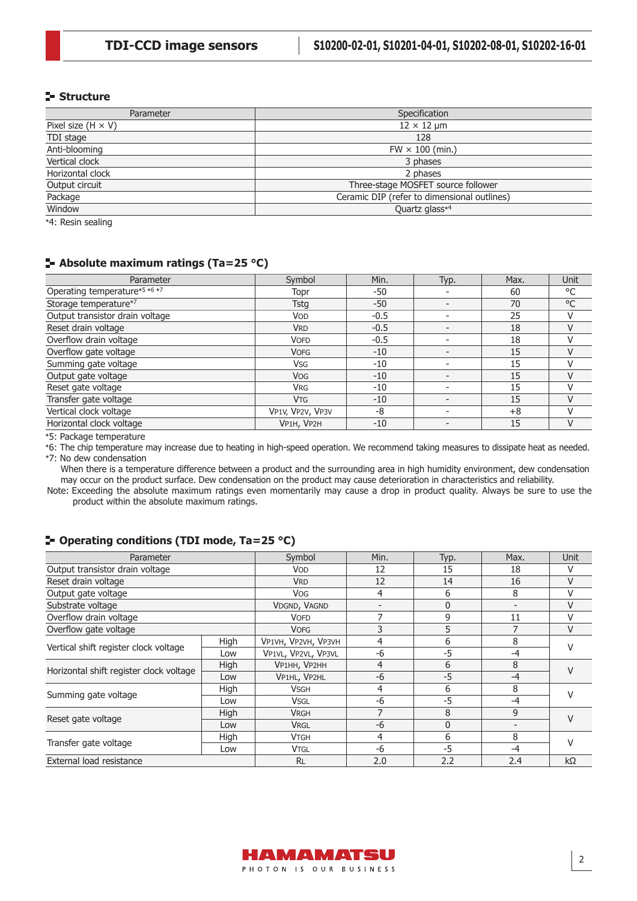#### **Structure**

| Parameter                 | Specification                               |
|---------------------------|---------------------------------------------|
| Pixel size $(H \times V)$ | $12 \times 12$ µm                           |
| TDI stage                 | 128                                         |
| Anti-blooming             | $FW \times 100$ (min.)                      |
| Vertical clock            | 3 phases                                    |
| Horizontal clock          | 2 phases                                    |
| Output circuit            | Three-stage MOSFET source follower          |
| Package                   | Ceramic DIP (refer to dimensional outlines) |
| Window                    | Quartz glass*4                              |
| $\cdots$<br>$\cdots$      |                                             |

\*4: Resin sealing

# **Absolute maximum ratings (Ta=25 °C)**

| Parameter                       | Symbol                | Min.   | Typ. | Max. | Unit |
|---------------------------------|-----------------------|--------|------|------|------|
| Operating temperature*5 *6 *7   | Topr                  | -50    |      | 60   | °C   |
| Storage temperature*7           | <b>Tstg</b>           | -50    |      | 70   | °C   |
| Output transistor drain voltage | <b>VOD</b>            | $-0.5$ |      | 25   |      |
| Reset drain voltage             | <b>VRD</b>            | $-0.5$ |      | 18   |      |
| Overflow drain voltage          | <b>VOFD</b>           | $-0.5$ |      | 18   |      |
| Overflow gate voltage           | <b>VOFG</b>           | $-10$  |      | 15   |      |
| Summing gate voltage            | <b>V<sub>SG</sub></b> | -10    |      | 15   |      |
| Output gate voltage             | <b>VOG</b>            | $-10$  |      | 15   |      |
| Reset gate voltage              | <b>VRG</b>            | $-10$  |      | 15   |      |
| Transfer gate voltage           | <b>V<sub>TG</sub></b> | $-10$  |      | 15   |      |
| Vertical clock voltage          | VP1V, VP2V, VP3V      | -8     |      | $+8$ |      |
| Horizontal clock voltage        | VP1H, VP2H            | $-10$  |      | 15   |      |

\*5: Package temperature

\*6: The chip temperature may increase due to heating in high-speed operation. We recommend taking measures to dissipate heat as needed. \*7: No dew condensation

When there is a temperature difference between a product and the surrounding area in high humidity environment, dew condensation may occur on the product surface. Dew condensation on the product may cause deterioration in characteristics and reliability.

Note: Exceeding the absolute maximum ratings even momentarily may cause a drop in product quality. Always be sure to use the product within the absolute maximum ratings.

# Parameter Symbol Min. Typ. Max. Unit Output transistor drain voltage VOD 12 15 18 V Reset drain voltage **VRD** VRD 12 14 16 V Output gate voltage Vog VOG 4 6 8 V Substrate voltage VDGND, VAGND - 0 - VDGND, VAGND - 0 - 1 V Overflow drain voltage VOFD 7 9 11 V Overflow gate voltage COVEG 2 8 3 5 7 V Vertical shift register clock voltage High VP1VH, VP2VH, VP3VH 466 8<br>Low VP1VL, VP2VL, VP3VL -6 -5 -4 V Horizontal shift register clock voltage High VP1HH, VP2HH 4 6 8<br>Low VP1HL, VP2HL -6 -5 -4 V Summing gate voltage  $\begin{array}{|c|c|c|c|c|c|}\n\hline\n\text{High} & \text{V}\text{-}\text{S}\n\end{array}\n\begin{array}{|c|c|c|c|c|}\n\hline\n\text{Low} & \text{V}\text{-}\text{}\text{S}\n\end{array}\n\begin{array}{|c|c|c|c|}\n\hline\n\text{-}\text{6} & \text{A}\n\end{array}\n\begin{array}{|c|c|c|c|}\n\hline\n\text{-}\text{5} & \text{A}\n\end{array}\n\begin{array}{|c|c|c|c|}\n\$ Reset gate voltage  $H\parallel$  High VRGH 7 8 9 V Transfer gate voltage  $H\parallel$  High VTGH 4 6 8 8 V External load resistance RL 2.0 2.2 2.4 kΩ

#### **Operating conditions (TDI mode, Ta=25 °C)**

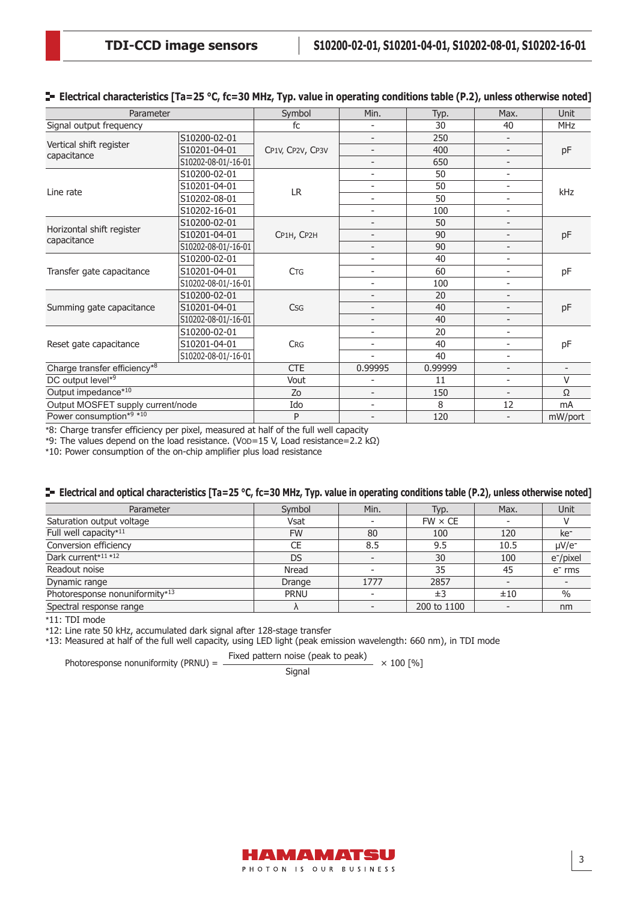| Parameter                         | Symbol              | Min.                     | Typ.                         | Max.                     | <b>Unit</b>              |                          |  |
|-----------------------------------|---------------------|--------------------------|------------------------------|--------------------------|--------------------------|--------------------------|--|
| Signal output frequency           |                     | fc                       |                              | 30                       | 40                       | MHz                      |  |
|                                   | S10200-02-01        |                          | $\overline{\phantom{a}}$     | 250                      | $\overline{a}$           |                          |  |
| Vertical shift register           | S10201-04-01        | CP1V, CP2V, CP3V         | $\overline{\phantom{a}}$     | 400                      | $\overline{\phantom{a}}$ | pF                       |  |
| capacitance                       | S10202-08-01/-16-01 |                          | $\overline{\phantom{a}}$     | 650                      | $\overline{\phantom{0}}$ |                          |  |
|                                   | S10200-02-01        |                          | $\qquad \qquad \blacksquare$ | 50                       | $\overline{\phantom{a}}$ |                          |  |
|                                   | S10201-04-01        |                          | $\overline{\phantom{0}}$     | 50                       | $\overline{\phantom{0}}$ |                          |  |
| Line rate                         | S10202-08-01        | <b>LR</b>                | $\overline{a}$               | 50                       | $\overline{\phantom{0}}$ | kHz                      |  |
|                                   | S10202-16-01        |                          | $\overline{\phantom{0}}$     | 100                      | $\overline{a}$           |                          |  |
|                                   | S10200-02-01        |                          | $\overline{a}$               | 50                       | $\overline{\phantom{0}}$ |                          |  |
| Horizontal shift register         | S10201-04-01        | CP1H, CP2H               | $\overline{\phantom{a}}$     | 90                       | $\overline{a}$           | pF                       |  |
| capacitance                       | S10202-08-01/-16-01 |                          | $\qquad \qquad -$            | 90                       | $\overline{\phantom{0}}$ |                          |  |
|                                   | S10200-02-01        |                          | $\overline{\phantom{a}}$     | 40                       | $\overline{\phantom{0}}$ |                          |  |
| Transfer gate capacitance         | S10201-04-01        | <b>CTG</b>               | $\overline{\phantom{a}}$     | 60                       | $\overline{\phantom{a}}$ | pF                       |  |
|                                   | S10202-08-01/-16-01 |                          | $\overline{\phantom{0}}$     | 100                      | ÷                        |                          |  |
|                                   | S10200-02-01        |                          | -                            | 20                       | $\overline{\phantom{0}}$ |                          |  |
| Summing gate capacitance          | S10201-04-01        | <b>Csg</b>               | $\overline{\phantom{a}}$     | 40                       | $\overline{\phantom{0}}$ | pF                       |  |
|                                   | S10202-08-01/-16-01 |                          | $\overline{\phantom{a}}$     | 40                       | $\overline{\phantom{0}}$ |                          |  |
|                                   | S10200-02-01        |                          | $\overline{\phantom{0}}$     | 20                       | $\overline{a}$           |                          |  |
| Reset gate capacitance            | S10201-04-01        | <b>CRG</b>               | $\overline{\phantom{0}}$     | 40                       | $\overline{\phantom{0}}$ | pF                       |  |
|                                   | S10202-08-01/-16-01 |                          | ٠                            | 40                       | $\overline{\phantom{0}}$ |                          |  |
| Charge transfer efficiency*8      |                     | <b>CTE</b>               | 0.99995                      | 0.99999                  | $\overline{\phantom{0}}$ | $\overline{\phantom{a}}$ |  |
| DC output level*9                 | Vout                |                          | 11                           | $\overline{\phantom{0}}$ | $\vee$                   |                          |  |
| Output impedance*10               | Zo                  | $\overline{\phantom{a}}$ | 150                          | $\overline{a}$           | Ω                        |                          |  |
| Output MOSFET supply current/node |                     | Ido                      | $\overline{\phantom{0}}$     | 8                        | 12                       | mA                       |  |
| Power consumption*9 *10           |                     | P                        | $\overline{\phantom{a}}$     | 120                      | $\overline{a}$           | mW/port                  |  |

#### **E** Electrical characteristics [Ta=25 °C, fc=30 MHz, Typ. value in operating conditions table (P.2), unless otherwise noted]

\*8: Charge transfer efficiency per pixel, measured at half of the full well capacity

\*9: The values depend on the load resistance. (VOD=15 V, Load resistance=2.2 kΩ)

\*10: Power consumption of the on-chip amplifier plus load resistance

#### **E** Electrical and optical characteristics [Ta=25 °C, fc=30 MHz, Typ. value in operating conditions table (P.2), unless otherwise noted]

| Parameter                      | Symbol      | Min. | Typ.           | Max.                     | <b>Unit</b>            |
|--------------------------------|-------------|------|----------------|--------------------------|------------------------|
| Saturation output voltage      | Vsat        |      | $FW \times CE$ |                          |                        |
| Full well capacity*11          | <b>FW</b>   | 80   | 100            | 120                      | ke <sup>-</sup>        |
| Conversion efficiency          | <b>CE</b>   | 8.5  | 9.5            | 10.5                     | $\mu$ V/e <sup>-</sup> |
| Dark current*11 *12            | <b>DS</b>   |      | 30             | 100                      | e <sup>-</sup> /pixel  |
| Readout noise                  | Nread       |      | 35             | 45                       | $e-$ rms               |
| Dynamic range                  | Drange      | 1777 | 2857           | $\overline{\phantom{0}}$ |                        |
| Photoresponse nonuniformity*13 | <b>PRNU</b> |      | ±3             | ±10                      | $\%$                   |
| Spectral response range        | Λ           |      | 200 to 1100    | $\overline{\phantom{a}}$ | nm                     |

\*11: TDI mode

\*12: Line rate 50 kHz, accumulated dark signal after 128-stage transfer

\*13: Measured at half of the full well capacity, using LED light (peak emission wavelength: 660 nm), in TDI mode

Photoresponse nonuniformity (PRNU) =  $\frac{\text{Fixed pattern noise (peak to peak)}}{\text{Signal}} \times 100 \, [\%]$ 

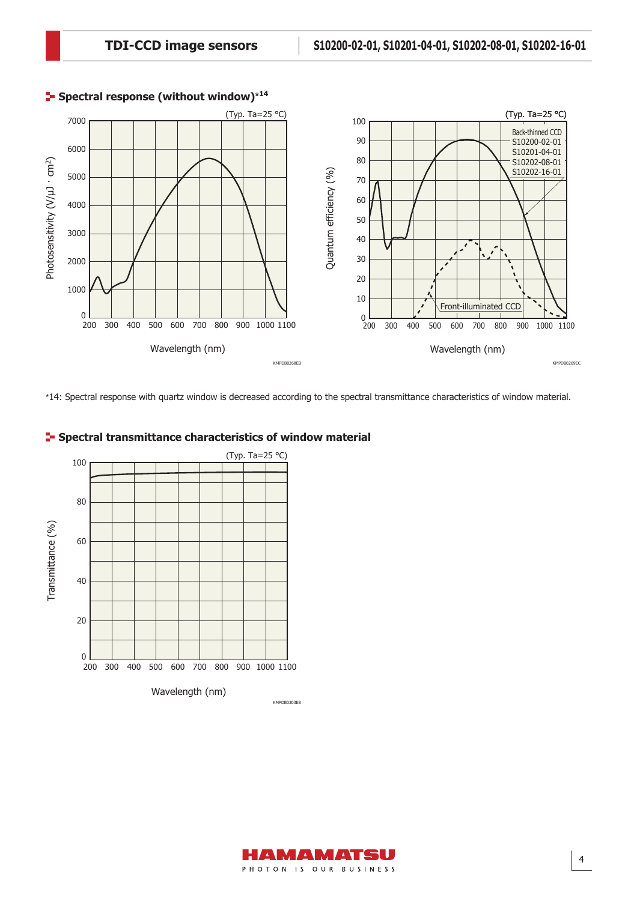

# **Spectral response (without window)\*<sup>14</sup>**

\*14: Spectral response with quartz window is decreased according to the spectral transmittance characteristics of window material.



# **F** Spectral transmittance characteristics of window material

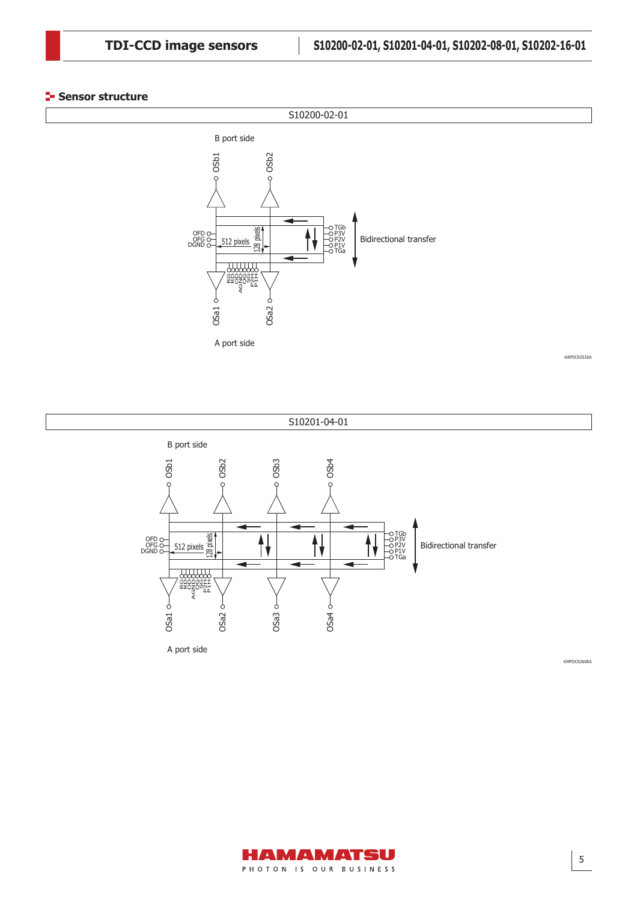#### **Sensor structure**







KAPDC0251EA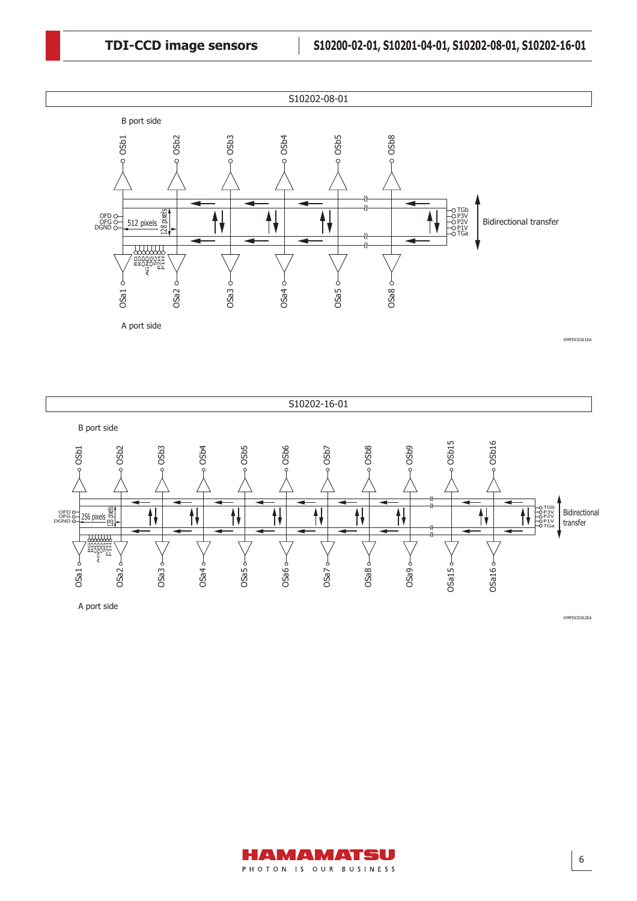



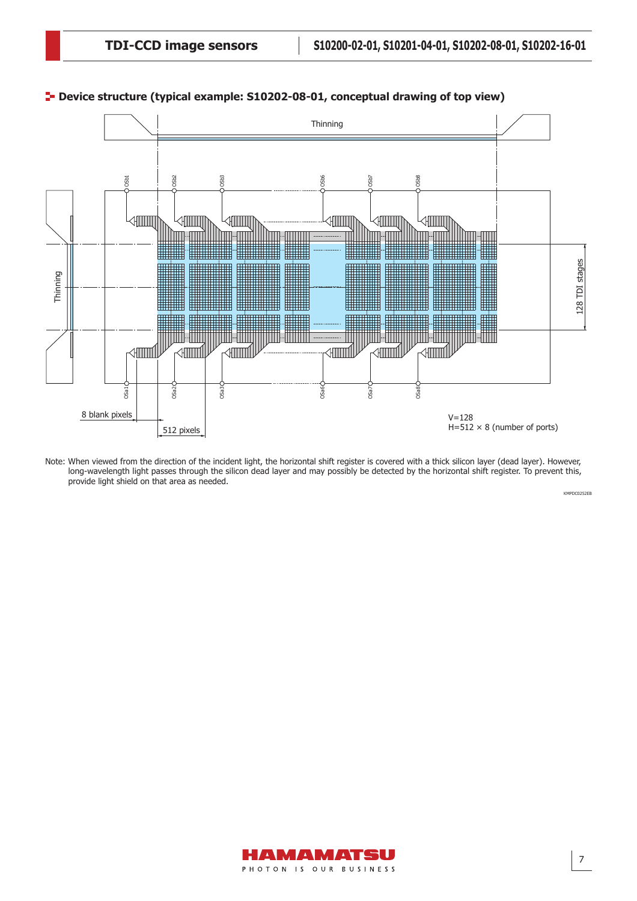

**P**- Device structure (typical example: S10202-08-01, conceptual drawing of top view)

Note: When viewed from the direction of the incident light, the horizontal shift register is covered with a thick silicon layer (dead layer). However, long-wavelength light passes through the silicon dead layer and may possibly be detected by the horizontal shift register. To prevent this, provide light shield on that area as needed.

KMPDC0252EB

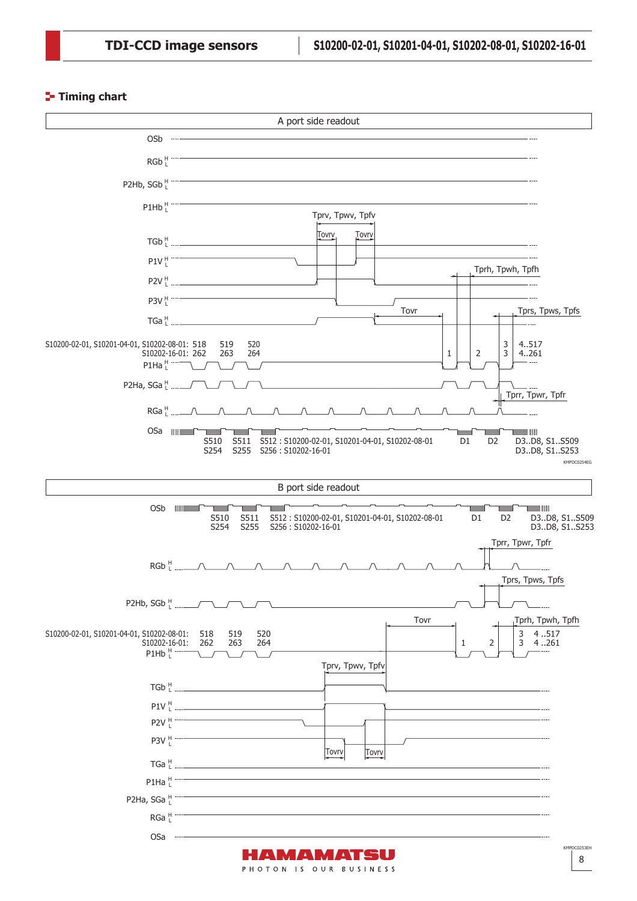### **Timing chart**

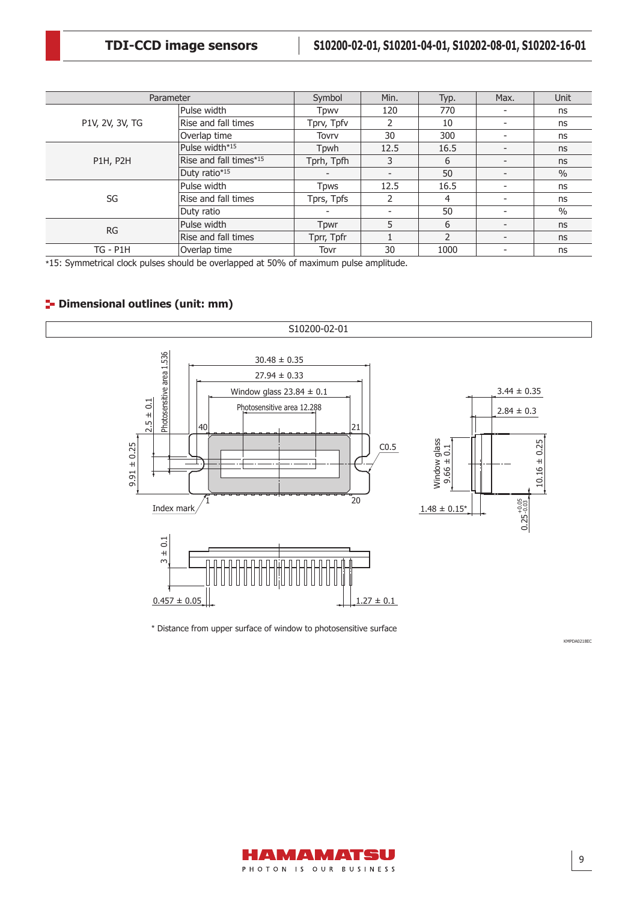| Parameter       |                        | Symbol                   | Min.                     | Typ.          | Max. | Unit          |
|-----------------|------------------------|--------------------------|--------------------------|---------------|------|---------------|
|                 | Pulse width            | Tpwv                     | 120                      | 770           |      | ns            |
| P1V, 2V, 3V, TG | Rise and fall times    | Tprv, Tpfv               |                          | 10            |      | ns            |
|                 | Overlap time           | Tovry                    | 30                       | 300           |      | ns            |
|                 | Pulse width*15         | Tpwh                     | 12.5                     | 16.5          |      | ns            |
| <b>P1H, P2H</b> | Rise and fall times*15 | Tprh, Tpfh               | 3                        | 6             |      | ns            |
|                 | Duty ratio*15          | $\overline{\phantom{0}}$ | $\overline{\phantom{a}}$ | 50            |      | $\frac{0}{0}$ |
|                 | Pulse width            | Tpws                     | 12.5                     | 16.5          |      | ns            |
| SG              | Rise and fall times    | Tprs, Tpfs               |                          | 4             | ۰.   | ns            |
|                 | Duty ratio             |                          |                          | 50            |      | $\frac{0}{0}$ |
| <b>RG</b>       | Pulse width            | Tpwr                     | 5                        | 6             |      | ns            |
|                 | Rise and fall times    | Tprr, Tpfr               |                          | $\mathcal{P}$ | -    | ns            |
| $TG - P1H$      | Overlap time           | Tovr                     | 30                       | 1000          |      | ns            |

\*15: Symmetrical clock pulses should be overlapped at 50% of maximum pulse amplitude.

# **<sup>1</sup>** Dimensional outlines (unit: mm)



\* Distance from upper surface of window to photosensitive surface



KMPDA0218EC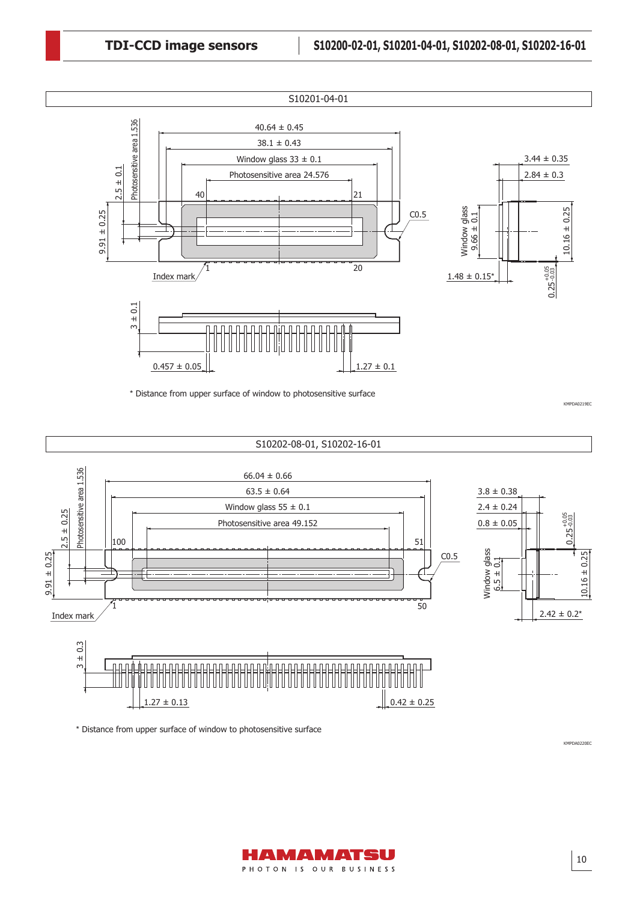

\* Distance from upper surface of window to photosensitive surface





\* Distance from upper surface of window to photosensitive surface

AMAMATSU PHOTON IS OUR BUSINESS KMPDA0220EC

KMPDA0219EC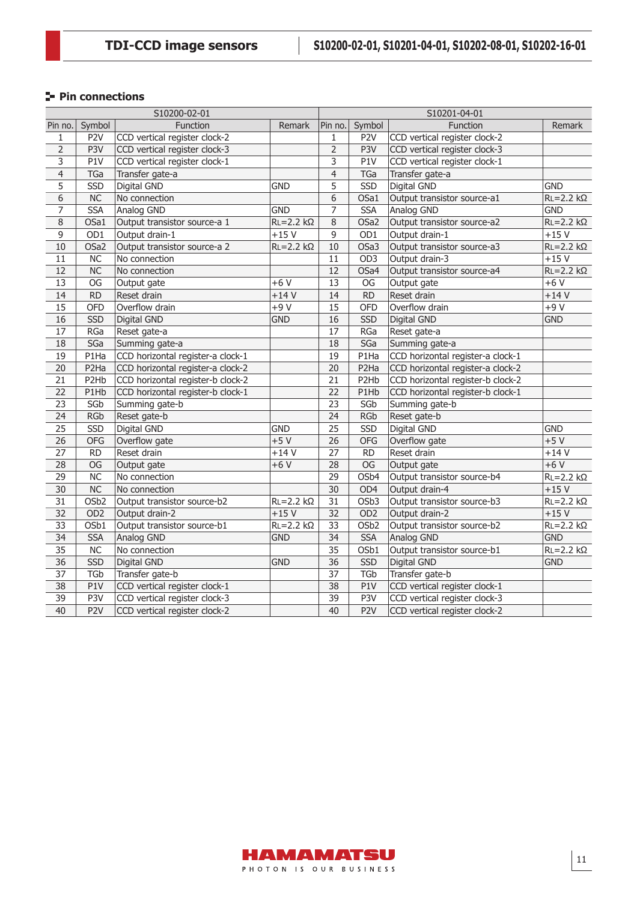# **Pin connections**

|                 |                   | S10200-02-01                      |                    | S10201-04-01    |                               |                                   |                    |
|-----------------|-------------------|-----------------------------------|--------------------|-----------------|-------------------------------|-----------------------------------|--------------------|
| Pin no.         | Symbol            | <b>Function</b>                   | Remark             | Pin no.         | Symbol                        | Function                          | Remark             |
| 1               | P <sub>2</sub> V  | CCD vertical register clock-2     |                    | 1               | P <sub>2</sub> V              | CCD vertical register clock-2     |                    |
| $\overline{2}$  | P3V               | CCD vertical register clock-3     |                    | 2               | P3V                           | CCD vertical register clock-3     |                    |
| 3               | P <sub>1</sub> V  | CCD vertical register clock-1     |                    | 3               | P1V                           | CCD vertical register clock-1     |                    |
| $\overline{4}$  | <b>TGa</b>        | Transfer gate-a                   |                    | $\overline{4}$  | <b>TGa</b>                    | Transfer gate-a                   |                    |
| 5               | SSD               | Digital GND                       | <b>GND</b>         | 5               | $\overline{\text{SSD}}$       | Digital GND                       | <b>GND</b>         |
| 6               | NC                | No connection                     |                    | 6               | OSa1                          | Output transistor source-a1       | $RL = 2.2 k\Omega$ |
| $\overline{7}$  | <b>SSA</b>        | Analog GND                        | <b>GND</b>         | 7               | <b>SSA</b>                    | Analog GND                        | <b>GND</b>         |
| $\,8\,$         | OSa1              | Output transistor source-a 1      | $RL = 2.2 k\Omega$ | $\overline{8}$  | OSa2                          | Output transistor source-a2       | $RL = 2.2 k\Omega$ |
| $\overline{9}$  | OD1               | Output drain-1                    | $+15V$             | $\overline{9}$  | OD1                           | Output drain-1                    | $+15V$             |
| 10              | OSa2              | Output transistor source-a 2      | $RL = 2.2 k\Omega$ | 10              | OSa3                          | Output transistor source-a3       | $RL = 2.2 k\Omega$ |
| $11\,$          | <b>NC</b>         | No connection                     |                    | 11              | OD <sub>3</sub>               | Output drain-3                    | $+15V$             |
| 12              | <b>NC</b>         | No connection                     |                    | 12              | OSa4                          | Output transistor source-a4       | $RL = 2.2 k\Omega$ |
| 13              | OG                | Output gate                       | $+6V$              | $\overline{13}$ | OG                            | Output gate                       | $+6V$              |
| 14              | RD                | Reset drain                       | $+14V$             | 14              | $\overline{RD}$               | Reset drain                       | $+14V$             |
| 15              | <b>OFD</b>        | Overflow drain                    | $+9V$              | 15              | <b>OFD</b>                    | Overflow drain                    | $+9V$              |
| 16              | <b>SSD</b>        | Digital GND                       | <b>GND</b>         | 16              | <b>SSD</b>                    | Digital GND                       | <b>GND</b>         |
| 17              | <b>RGa</b>        | Reset gate-a                      |                    | 17              | RGa                           | Reset gate-a                      |                    |
| 18              | SGa               | Summing gate-a                    |                    | 18              | SGa                           | Summing gate-a                    |                    |
| 19              | P1Ha              | CCD horizontal register-a clock-1 |                    | $\overline{19}$ | P1Ha                          | CCD horizontal register-a clock-1 |                    |
| 20              | P2Ha              | CCD horizontal register-a clock-2 |                    | 20              | P <sub>2</sub> Ha             | CCD horizontal register-a clock-2 |                    |
| 21              | P2Hb              | CCD horizontal register-b clock-2 |                    | 21              | P <sub>2</sub> H <sub>b</sub> | CCD horizontal register-b clock-2 |                    |
| 22              | P1Hb              | CCD horizontal register-b clock-1 |                    | $\overline{22}$ | P1Hb                          | CCD horizontal register-b clock-1 |                    |
| $\overline{23}$ | SGb               | Summing gate-b                    |                    | $\overline{23}$ | SGD                           | Summing gate-b                    |                    |
| 24              | <b>RGb</b>        | Reset gate-b                      |                    | 24              | <b>RGb</b>                    | Reset gate-b                      |                    |
| 25              | <b>SSD</b>        | Digital GND                       | <b>GND</b>         | 25              | <b>SSD</b>                    | Digital GND                       | <b>GND</b>         |
| 26              | <b>OFG</b>        | Overflow gate                     | $+5V$              | $\overline{26}$ | <b>OFG</b>                    | Overflow gate                     | $+5V$              |
| 27              | <b>RD</b>         | Reset drain                       | $+14V$             | $\overline{27}$ | <b>RD</b>                     | Reset drain                       | $+14V$             |
| 28              | OG                | Output gate                       | $+6V$              | 28              | OG                            | Output gate                       | $+6V$              |
| 29              | $\overline{NC}$   | No connection                     |                    | 29              | OSb4                          | Output transistor source-b4       | $RL = 2.2 k\Omega$ |
| 30              | NC                | No connection                     |                    | $\overline{30}$ | OD <sub>4</sub>               | Output drain-4                    | $+15V$             |
| 31              | OS <sub>b</sub> 2 | Output transistor source-b2       | $RL = 2.2 k\Omega$ | $\overline{31}$ | OSb <sub>3</sub>              | Output transistor source-b3       | $RL = 2.2 k\Omega$ |
| 32              | OD <sub>2</sub>   | Output drain-2                    | $+15V$             | 32              | OD <sub>2</sub>               | Output drain-2                    | $+15V$             |
| 33              | OSb1              | Output transistor source-b1       | $RL = 2.2 k\Omega$ | 33              | OS <sub>b</sub> 2             | Output transistor source-b2       | $RL = 2.2 k\Omega$ |
| 34              | <b>SSA</b>        | Analog GND                        | <b>GND</b>         | 34              | <b>SSA</b>                    | Analog GND                        | <b>GND</b>         |
| $\overline{35}$ | N <sub>C</sub>    | No connection                     |                    | $\overline{35}$ | $\overline{OSb1}$             | Output transistor source-b1       | $RL = 2.2 k\Omega$ |
| 36              | SSD               | Digital GND                       | <b>GND</b>         | $\overline{36}$ | <b>SSD</b>                    | Digital GND                       | <b>GND</b>         |
| 37              | <b>TGb</b>        | Transfer gate-b                   |                    | 37              | <b>TGb</b>                    | Transfer gate-b                   |                    |
| 38              | P1V               | CCD vertical register clock-1     |                    | 38              | P1V                           | CCD vertical register clock-1     |                    |
| 39              | P3V               | CCD vertical register clock-3     |                    | 39              | P3V                           | CCD vertical register clock-3     |                    |
| 40              | P2V               | CCD vertical register clock-2     |                    | $\overline{40}$ | P <sub>2</sub> V              | CCD vertical register clock-2     |                    |

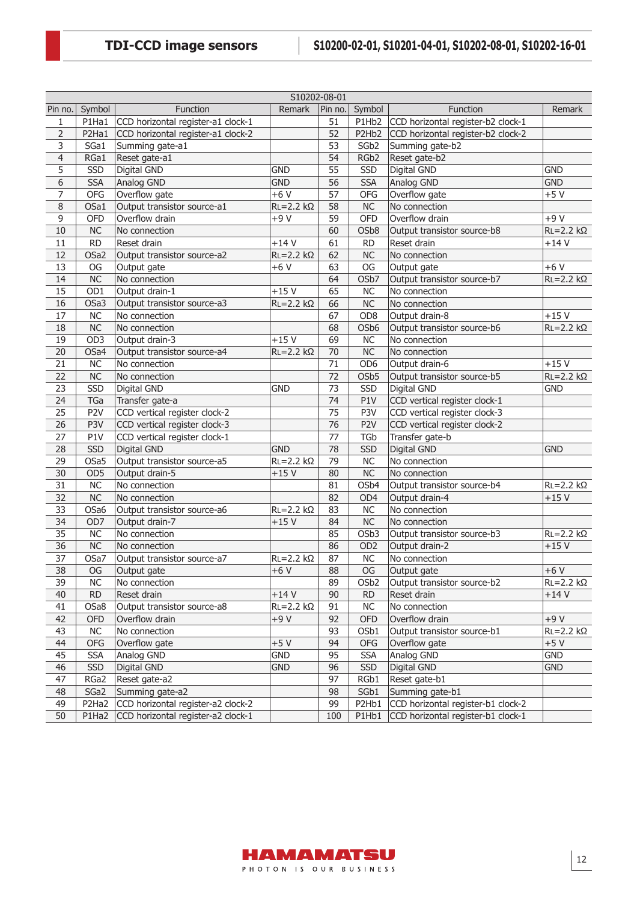|                | S10202-08-01           |                                    |                          |                 |                  |                                    |                    |  |  |
|----------------|------------------------|------------------------------------|--------------------------|-----------------|------------------|------------------------------------|--------------------|--|--|
| Pin no.        | Symbol                 | Function                           | Remark                   | Pin no.         | Symbol           | Function                           | Remark             |  |  |
| 1              | P1Ha1                  | CCD horizontal register-a1 clock-1 |                          | 51              | P1Hb2            | CCD horizontal register-b2 clock-1 |                    |  |  |
| $\overline{2}$ | P2Ha1                  | CCD horizontal register-a1 clock-2 |                          | 52              | P2Hb2            | CCD horizontal register-b2 clock-2 |                    |  |  |
| $\overline{3}$ | SGa1                   | Summing gate-a1                    |                          | 53              | SGb <sub>2</sub> | Summing gate-b2                    |                    |  |  |
| $\overline{4}$ | RGa1                   | Reset gate-a1                      |                          | 54              | RGb2             | Reset gate-b2                      |                    |  |  |
| 5              | SSD                    | Digital GND                        | <b>GND</b>               | 55              | SSD              | Digital GND                        | <b>GND</b>         |  |  |
| 6              | <b>SSA</b>             | Analog GND                         | <b>GND</b>               | 56              | <b>SSA</b>       | Analog GND                         | <b>GND</b>         |  |  |
| $\overline{7}$ | OFG                    | Overflow gate                      | $+6V$                    | 57              | <b>OFG</b>       | Overflow gate                      | $+5V$              |  |  |
| 8              | OSa1                   | Output transistor source-a1        | $RL = 2.2 k\Omega$       | $\overline{58}$ | NC               | No connection                      |                    |  |  |
| 9              | OFD                    | Overflow drain                     | $+9V$                    | $\overline{59}$ | OFD              | Overflow drain                     | $+9V$              |  |  |
| 10             | <b>NC</b>              | No connection                      |                          | 60              | OSb8             | Output transistor source-b8        | $RL = 2.2 k\Omega$ |  |  |
| 11             | <b>RD</b>              | Reset drain                        | $+14V$                   | 61              | <b>RD</b>        | Reset drain                        | $+14V$             |  |  |
| 12             | OSa2                   | Output transistor source-a2        | $RL = 2.2 k\Omega$       | 62              | NC               | No connection                      |                    |  |  |
| 13             | OG                     | Output gate                        | $+6V$                    | 63              | OG               | Output gate                        | $+6V$              |  |  |
| 14             | <b>NC</b>              | No connection                      |                          | 64              | OSb7             | Output transistor source-b7        | $RL = 2.2 k\Omega$ |  |  |
| 15             | OD1                    | Output drain-1                     | $+15V$                   | 65              | NC               | No connection                      |                    |  |  |
| 16             | OSa3                   | Output transistor source-a3        | $\overline{R}L = 2.2$ kΩ | 66              | NC               | No connection                      |                    |  |  |
| 17             | $\overline{\text{NC}}$ | No connection                      |                          | 67              | OD <sub>8</sub>  | Output drain-8                     | $+15V$             |  |  |
| 18             | <b>NC</b>              | No connection                      |                          | 68              | OSb6             | Output transistor source-b6        | $RL = 2.2 k\Omega$ |  |  |
| 19             | OD <sub>3</sub>        | Output drain-3                     | $+15V$                   | 69              | NC               | No connection                      |                    |  |  |
| 20             | OSa4                   | Output transistor source-a4        | $RL = 2.2 k\Omega$       | 70              | NC               | No connection                      |                    |  |  |
|                | <b>NC</b>              |                                    |                          |                 | OD <sub>6</sub>  |                                    | $+15V$             |  |  |
| 21             |                        | No connection                      |                          | 71              |                  | Output drain-6                     |                    |  |  |
| 22             | <b>NC</b>              | No connection                      |                          | 72              | OSb5             | Output transistor source-b5        | $RL = 2.2 k\Omega$ |  |  |
| 23             | <b>SSD</b>             | Digital GND                        | <b>GND</b>               | 73              | SSD              | Digital GND                        | <b>GND</b>         |  |  |
| 24             | TGa                    | Transfer gate-a                    |                          | 74              | P1V              | CCD vertical register clock-1      |                    |  |  |
| 25             | P <sub>2</sub> V       | CCD vertical register clock-2      |                          | $\overline{75}$ | P3V              | CCD vertical register clock-3      |                    |  |  |
| 26             | P3V                    | CCD vertical register clock-3      |                          | $\overline{76}$ | P <sub>2</sub> V | CCD vertical register clock-2      |                    |  |  |
| 27             | P1V                    | CCD vertical register clock-1      |                          | 77              | <b>TGb</b>       | Transfer gate-b                    |                    |  |  |
| 28             | <b>SSD</b>             | Digital GND                        | <b>GND</b>               | 78              | <b>SSD</b>       | Digital GND                        | <b>GND</b>         |  |  |
| 29             | OSa5                   | Output transistor source-a5        | $RL = 2.2 k\Omega$       | 79              | NC               | No connection                      |                    |  |  |
| 30             | OD <sub>5</sub>        | Output drain-5                     | $+15V$                   | 80              | <b>NC</b>        | No connection                      |                    |  |  |
| 31             | <b>NC</b>              | No connection                      |                          | 81              | OSb4             | Output transistor source-b4        | $RL = 2.2 k\Omega$ |  |  |
| 32             | <b>NC</b>              | No connection                      |                          | 82              | OD4              | Output drain-4                     | $+15V$             |  |  |
| 33             | OSa6                   | Output transistor source-a6        | $RL = 2.2 k\Omega$       | 83              | NC               | No connection                      |                    |  |  |
| 34             | OD7                    | Output drain-7                     | $+15V$                   | 84              | NC               | No connection                      |                    |  |  |
| 35             | <b>NC</b>              | No connection                      |                          | 85              | OSb3             | Output transistor source-b3        | $RL = 2.2 k\Omega$ |  |  |
| 36             | <b>NC</b>              | No connection                      |                          | 86              | OD <sub>2</sub>  | Output drain-2                     | $+15V$             |  |  |
| 37             | OSa7                   | Output transistor source-a7        | $RL = 2.2 k\Omega$       | 87              | NC               | No connection                      |                    |  |  |
| 38             | OG                     | Output gate                        | $+6V$                    | 88              | OG               | Output gate                        | $+6V$              |  |  |
| 39             | <b>NC</b>              | No connection                      |                          | 89              | OSb <sub>2</sub> | Output transistor source-b2        | $RL = 2.2 k\Omega$ |  |  |
| 40             | <b>RD</b>              | Reset drain                        | $+14V$                   | 90              | <b>RD</b>        | Reset drain                        | $+14V$             |  |  |
| 41             | OSa8                   | Output transistor source-a8        | $RL = 2.2 k\Omega$       | 91              | $NC$             | No connection                      |                    |  |  |
| 42             | OFD                    | Overflow drain                     | $+9V$                    | 92              | OFD              | Overflow drain                     | $+9V$              |  |  |
| 43             | NC                     | No connection                      |                          | 93              | OSb1             | Output transistor source-b1        | $RL = 2.2 k\Omega$ |  |  |
| 44             | OFG                    | Overflow gate                      | $+5V$                    | 94              | OFG              | Overflow gate                      | $+5V$              |  |  |
| 45             | <b>SSA</b>             | Analog GND                         | <b>GND</b>               | 95              | <b>SSA</b>       | Analog GND                         | <b>GND</b>         |  |  |
| 46             | SSD                    | Digital GND                        | <b>GND</b>               | 96              | SSD              | Digital GND                        | <b>GND</b>         |  |  |
| 47             | RGa2                   | Reset gate-a2                      |                          | 97              | RGb1             | Reset gate-b1                      |                    |  |  |
| 48             | SGa2                   | Summing gate-a2                    |                          | 98              | SGb1             | Summing gate-b1                    |                    |  |  |
| 49             | P2Ha2                  | CCD horizontal register-a2 clock-2 |                          | 99              | P2Hb1            | CCD horizontal register-b1 clock-2 |                    |  |  |
| 50             | P1Ha2                  | CCD horizontal register-a2 clock-1 |                          | 100             | P1Hb1            | CCD horizontal register-b1 clock-1 |                    |  |  |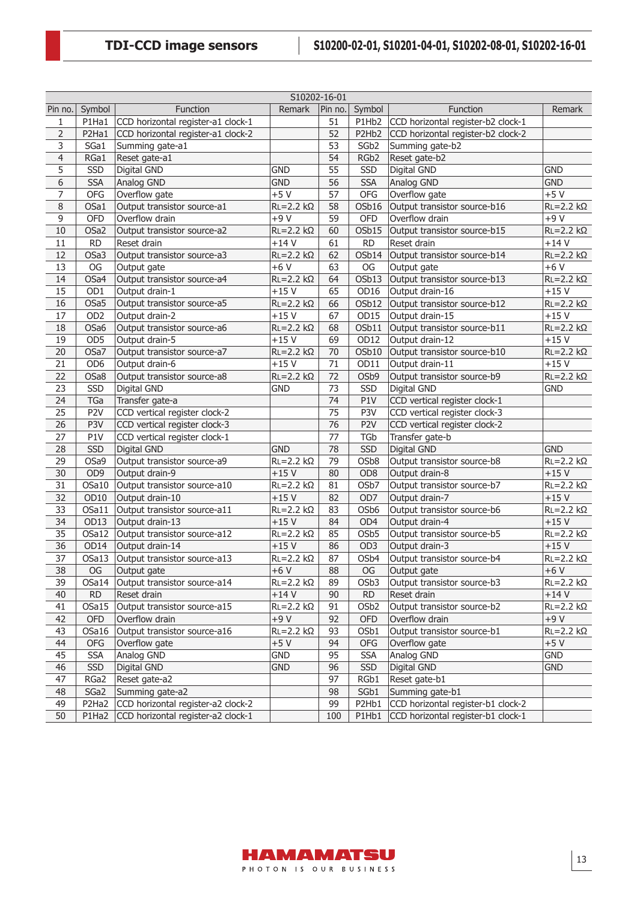|                | S10202-16-01     |                                      |                    |                 |                   |                                    |                          |  |  |
|----------------|------------------|--------------------------------------|--------------------|-----------------|-------------------|------------------------------------|--------------------------|--|--|
| Pin no.        | Symbol           | Function                             | Remark             | Pin no.         | Symbol            | Function                           | <b>Remark</b>            |  |  |
| $\mathbf{1}$   | P1Ha1            | CCD horizontal register-a1 clock-1   |                    | 51              | P1Hb2             | CCD horizontal register-b2 clock-1 |                          |  |  |
| $\overline{2}$ | P2Ha1            | CCD horizontal register-a1 clock-2   |                    | 52              | P2Hb2             | CCD horizontal register-b2 clock-2 |                          |  |  |
| $\overline{3}$ | SGa1             | Summing gate-a1                      |                    | 53              | SGb <sub>2</sub>  | Summing gate-b2                    |                          |  |  |
| $\overline{4}$ | RGa1             | Reset gate-a1                        |                    | 54              | RGb2              | Reset gate-b2                      |                          |  |  |
| 5              | SSD              | Digital GND                          | <b>GND</b>         | 55              | SSD               | Digital GND                        | <b>GND</b>               |  |  |
| 6              | <b>SSA</b>       | Analog GND                           | <b>GND</b>         | 56              | <b>SSA</b>        | Analog GND                         | <b>GND</b>               |  |  |
| 7              | OFG              | Overflow gate                        | $+5V$              | 57              | OFG               | Overflow gate                      | $+5V$                    |  |  |
| 8              | OSa1             | Output transistor source-a1          | $RL = 2.2 k\Omega$ | 58              | OSb16             | Output transistor source-b16       | $RL = 2.2$ kΩ            |  |  |
| 9              | <b>OFD</b>       | Overflow drain                       | $+9V$              | 59              | OFD               | Overflow drain                     | $+9V$                    |  |  |
| 10             | OSa2             | Output transistor source-a2          | $RL = 2.2 k\Omega$ | 60              | OSb15             | Output transistor source-b15       | $RL = 2.2 k\Omega$       |  |  |
| 11             | <b>RD</b>        | Reset drain                          | $+14V$             | 61              | <b>RD</b>         | Reset drain                        | $+14V$                   |  |  |
| 12             | OSa3             | Output transistor source-a3          | $RL = 2.2 k\Omega$ | 62              | OSb14             | Output transistor source-b14       | $RL = 2.2 k\Omega$       |  |  |
| 13             | OG               | Output gate                          | $\frac{1}{+6}V$    | 63              | OG                | Output gate                        | $+6V$                    |  |  |
| 14             | OSa4             | Output transistor source-a4          | $RL = 2.2 k\Omega$ | 64              | OSb13             | Output transistor source-b13       | $RL = 2.2 k\Omega$       |  |  |
| 15             | OD1              | Output drain-1                       | $+15V$             | 65              | OD <sub>16</sub>  | Output drain-16                    | $+15V$                   |  |  |
| 16             | OSa5             | Output transistor source-a5          | $RL = 2.2 k\Omega$ | 66              | OSb12             | Output transistor source-b12       | $RL = 2.2 k\Omega$       |  |  |
| 17             | OD <sub>2</sub>  | Output drain-2                       | $+15V$             | 67              | OD15              | Output drain-15                    | $+15V$                   |  |  |
| 18             | OSa6             | Output transistor source-a6          | $RL = 2.2 k\Omega$ | 68              | OSb11             | Output transistor source-b11       | $RL = 2.2 k\Omega$       |  |  |
| 19             | OD <sub>5</sub>  | Output drain-5                       | $+15V$             | 69              | OD12              | Output drain-12                    | $+15V$                   |  |  |
| 20             | OSa7             | Output transistor source-a7          | $RL = 2.2 k\Omega$ | 70              | OSb10             | Output transistor source-b10       | $RL = 2.2 k\Omega$       |  |  |
| 21             | OD <sub>6</sub>  | Output drain-6                       | $+15V$             | 71              | OD11              | Output drain-11                    | $+15V$                   |  |  |
| 22             | OSa8             | Output transistor source-a8          | $RL = 2.2 k\Omega$ | 72              | OSb9              | Output transistor source-b9        | $RL = 2.2 k\Omega$       |  |  |
| 23             | SSD              | Digital GND                          | <b>GND</b>         | 73              | SSD               | Digital GND                        | <b>GND</b>               |  |  |
| 24             | TGa              | Transfer gate-a                      |                    | 74              | P1V               | CCD vertical register clock-1      |                          |  |  |
| 25             | P <sub>2</sub> V | CCD vertical register clock-2        |                    | $\overline{75}$ | P3V               | CCD vertical register clock-3      |                          |  |  |
| 26             | P3V              | CCD vertical register clock-3        |                    | $\overline{76}$ | P <sub>2</sub> V  | CCD vertical register clock-2      |                          |  |  |
| 27             | P1V              | CCD vertical register clock-1        |                    | 77              | <b>TGb</b>        | Transfer gate-b                    |                          |  |  |
| 28             | <b>SSD</b>       | Digital GND                          | <b>GND</b>         | 78              | <b>SSD</b>        | Digital GND                        | <b>GND</b>               |  |  |
| 29             | OSa9             | Output transistor source-a9          | $RL = 2.2 k\Omega$ | 79              | OSb8              | Output transistor source-b8        | $RL = 2.2 k\Omega$       |  |  |
| 30             | OD <sub>9</sub>  | Output drain-9                       | $+15V$             | 80              | OD <sub>8</sub>   | Output drain-8                     | $+15V$                   |  |  |
| 31             | OSa10            | Output transistor source-a10         | $RL = 2.2 k\Omega$ | 81              | OSb7              | Output transistor source-b7        | $RL = 2.2 k\Omega$       |  |  |
| 32             | OD10             | Output drain-10                      | $+15V$             | 82              | OD <sub>7</sub>   | Output drain-7                     | $+15V$                   |  |  |
| 33             | OSa11            | Output transistor source-a11         | $RL = 2.2 k\Omega$ | 83              | OSb6              | Output transistor source-b6        | $RL = 2.2 k\Omega$       |  |  |
| 34             | OD13             | Output drain-13                      | $+15V$             | 84              | OD4               | Output drain-4                     | $+15V$                   |  |  |
| 35             | OSa12            | Output transistor source-a12         | $RL = 2.2 k\Omega$ | 85              | OS <sub>b</sub> 5 | Output transistor source-b5        | $RL = 2.2 k\Omega$       |  |  |
| 36             | OD14             | Output drain-14                      | $+15V$             | 86              | OD <sub>3</sub>   | Output drain-3                     | $+15V$                   |  |  |
| 37             | OSa13            | Output transistor source-a13         | $RL = 2.2 k\Omega$ | 87              | OS <sub>b</sub> 4 | Output transistor source-b4        | $RL = 2.2$ k $\Omega$    |  |  |
| 38             | OG               | Output gate                          | $+6V$              | 88              | OG                | Output gate                        | $+6V$                    |  |  |
| 39             |                  | OSa14   Output transistor source-a14 | $RL = 2.2 k\Omega$ | 89              | OSb3              | Output transistor source-b3        | $RL = 2.2 k\Omega$       |  |  |
| 40             | <b>RD</b>        | Reset drain                          | $+14V$             | 90              | <b>RD</b>         | Reset drain                        | $+14V$                   |  |  |
| 41             | OSa15            | Output transistor source-a15         | $RL = 2.2 k\Omega$ | 91              | OSb <sub>2</sub>  | Output transistor source-b2        | $RL = 2.2 k\Omega$       |  |  |
| 42             | <b>OFD</b>       | Overflow drain                       | $+9V$              | 92              | OFD               | Overflow drain                     | +9 V                     |  |  |
| 43             | OSa16            | Output transistor source-a16         | $RL = 2.2 k\Omega$ | 93              | OSb1              | Output transistor source-b1        | $\overline{R}L = 2.2$ kΩ |  |  |
| 44             | OFG              | Overflow gate                        | $+5V$              | 94              | OFG               | Overflow gate                      | $+5V$                    |  |  |
| 45             | <b>SSA</b>       | Analog GND                           | GND                | 95              | <b>SSA</b>        | Analog GND                         | <b>GND</b>               |  |  |
| 46             | SSD              | Digital GND                          | <b>GND</b>         | 96              | SSD               | Digital GND                        | <b>GND</b>               |  |  |
| 47             | RGa2             | Reset gate-a2                        |                    | 97              | RGb1              | Reset gate-b1                      |                          |  |  |
| 48             | SGa2             | Summing gate-a2                      |                    | 98              | SGb1              | Summing gate-b1                    |                          |  |  |
| 49             | P2Ha2            | CCD horizontal register-a2 clock-2   |                    | 99              | P2Hb1             | CCD horizontal register-b1 clock-2 |                          |  |  |
| 50             | P1Ha2            | CCD horizontal register-a2 clock-1   |                    | 100             | P1Hb1             | CCD horizontal register-b1 clock-1 |                          |  |  |